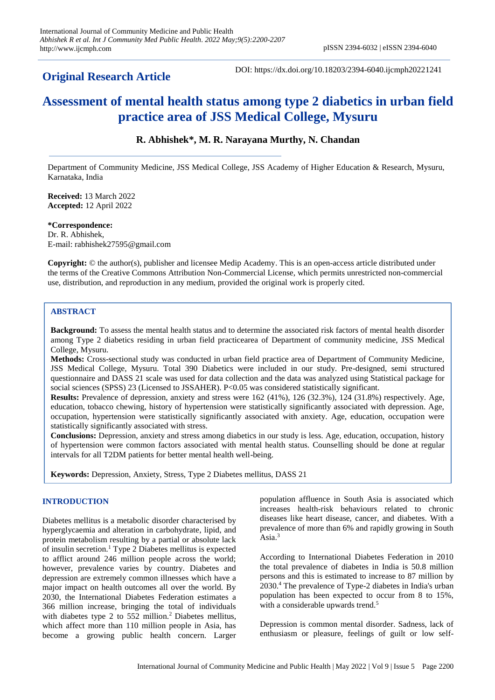## **Original Research Article**

DOI: https://dx.doi.org/10.18203/2394-6040.ijcmph20221241

# **Assessment of mental health status among type 2 diabetics in urban field practice area of JSS Medical College, Mysuru**

### **R. Abhishek\*, M. R. Narayana Murthy, N. Chandan**

Department of Community Medicine, JSS Medical College, JSS Academy of Higher Education & Research, Mysuru, Karnataka, India

**Received:** 13 March 2022 **Accepted:** 12 April 2022

**\*Correspondence:** Dr. R. Abhishek, E-mail: rabhishek27595@gmail.com

**Copyright:** © the author(s), publisher and licensee Medip Academy. This is an open-access article distributed under the terms of the Creative Commons Attribution Non-Commercial License, which permits unrestricted non-commercial use, distribution, and reproduction in any medium, provided the original work is properly cited.

#### **ABSTRACT**

**Background:** To assess the mental health status and to determine the associated risk factors of mental health disorder among Type 2 diabetics residing in urban field practicearea of Department of community medicine, JSS Medical College, Mysuru.

**Methods:** Cross-sectional study was conducted in urban field practice area of Department of Community Medicine, JSS Medical College, Mysuru. Total 390 Diabetics were included in our study. Pre-designed, semi structured questionnaire and DASS 21 scale was used for data collection and the data was analyzed using Statistical package for social sciences (SPSS) 23 (Licensed to JSSAHER). P<0.05 was considered statistically significant.

**Results:** Prevalence of depression, anxiety and stress were 162 (41%), 126 (32.3%), 124 (31.8%) respectively. Age, education, tobacco chewing, history of hypertension were statistically significantly associated with depression. Age, occupation, hypertension were statistically significantly associated with anxiety. Age, education, occupation were statistically significantly associated with stress.

**Conclusions:** Depression, anxiety and stress among diabetics in our study is less. Age, education, occupation, history of hypertension were common factors associated with mental health status. Counselling should be done at regular intervals for all T2DM patients for better mental health well-being.

**Keywords:** Depression, Anxiety, Stress, Type 2 Diabetes mellitus, DASS 21

#### **INTRODUCTION**

Diabetes mellitus is a metabolic disorder characterised by hyperglycaemia and alteration in carbohydrate, lipid, and protein metabolism resulting by a partial or absolute lack of insulin secretion.<sup>1</sup> Type 2 Diabetes mellitus is expected to afflict around 246 million people across the world; however, prevalence varies by country. Diabetes and depression are extremely common illnesses which have a major impact on health outcomes all over the world. By 2030, the International Diabetes Federation estimates a 366 million increase, bringing the total of individuals with diabetes type 2 to 552 million.<sup>2</sup> Diabetes mellitus, which affect more than 110 million people in Asia, has become a growing public health concern. Larger

population affluence in South Asia is associated which increases health-risk behaviours related to chronic diseases like heart disease, cancer, and diabetes. With a prevalence of more than 6% and rapidly growing in South Asia.<sup>3</sup>

According to International Diabetes Federation in 2010 the total prevalence of diabetes in India is 50.8 million persons and this is estimated to increase to 87 million by 2030.<sup>4</sup> The prevalence of Type-2 diabetes in India's urban population has been expected to occur from 8 to 15%, with a considerable upwards trend.<sup>5</sup>

Depression is common mental disorder. Sadness, lack of enthusiasm or pleasure, feelings of guilt or low self-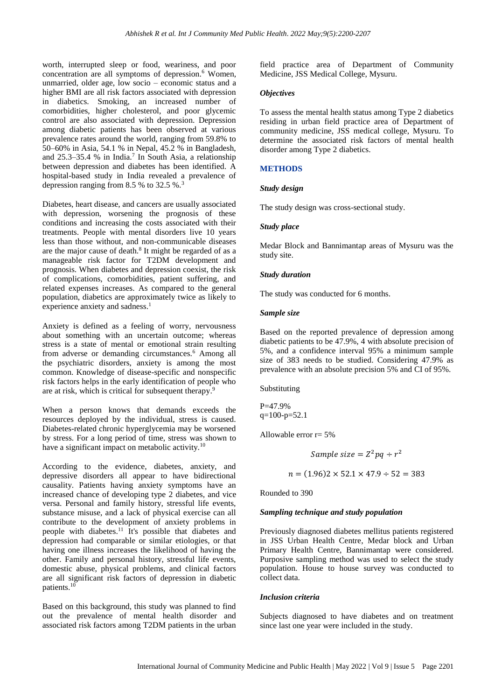worth, interrupted sleep or food, weariness, and poor concentration are all symptoms of depression.<sup>6</sup> Women, unmarried, older age, low socio – economic status and a higher BMI are all risk factors associated with depression in diabetics. Smoking, an increased number of comorbidities, higher cholesterol, and poor glycemic control are also associated with depression. Depression among diabetic patients has been observed at various prevalence rates around the world, ranging from 59.8% to 50–60% in Asia, 54.1 % in Nepal, 45.2 % in Bangladesh, and  $25.3-35.4$  % in India.<sup>7</sup> In South Asia, a relationship between depression and diabetes has been identified. A hospital-based study in India revealed a prevalence of depression ranging from 8.5 % to 32.5 %.<sup>3</sup>

Diabetes, heart disease, and cancers are usually associated with depression, worsening the prognosis of these conditions and increasing the costs associated with their treatments. People with mental disorders live 10 years less than those without, and non-communicable diseases are the major cause of death.<sup>8</sup> It might be regarded of as a manageable risk factor for T2DM development and prognosis. When diabetes and depression coexist, the risk of complications, comorbidities, patient suffering, and related expenses increases. As compared to the general population, diabetics are approximately twice as likely to experience anxiety and sadness.<sup>1</sup>

Anxiety is defined as a feeling of worry, nervousness about something with an uncertain outcome; whereas stress is a state of mental or emotional strain resulting from adverse or demanding circumstances.<sup>6</sup> Among all the psychiatric disorders, anxiety is among the most common. Knowledge of disease-specific and nonspecific risk factors helps in the early identification of people who are at risk, which is critical for subsequent therapy.<sup>9</sup>

When a person knows that demands exceeds the resources deployed by the individual, stress is caused. Diabetes-related chronic hyperglycemia may be worsened by stress. For a long period of time, stress was shown to have a significant impact on metabolic activity.<sup>10</sup>

According to the evidence, diabetes, anxiety, and depressive disorders all appear to have bidirectional causality. Patients having anxiety symptoms have an increased chance of developing type 2 diabetes, and vice versa. Personal and family history, stressful life events, substance misuse, and a lack of physical exercise can all contribute to the development of anxiety problems in people with diabetes. <sup>11</sup> It's possible that diabetes and depression had comparable or similar etiologies, or that having one illness increases the likelihood of having the other. Family and personal history, stressful life events, domestic abuse, physical problems, and clinical factors are all significant risk factors of depression in diabetic patients. 10

Based on this background, this study was planned to find out the prevalence of mental health disorder and associated risk factors among T2DM patients in the urban

field practice area of Department of Community Medicine, JSS Medical College, Mysuru.

#### *Objectives*

To assess the mental health status among Type 2 diabetics residing in urban field practice area of Department of community medicine, JSS medical college, Mysuru. To determine the associated risk factors of mental health disorder among Type 2 diabetics.

#### **METHODS**

#### *Study design*

The study design was cross-sectional study.

#### *Study place*

Medar Block and Bannimantap areas of Mysuru was the study site.

#### *Study duration*

The study was conducted for 6 months.

#### *Sample size*

Based on the reported prevalence of depression among diabetic patients to be 47.9%, 4 with absolute precision of 5%, and a confidence interval 95% a minimum sample size of 383 needs to be studied. Considering 47.9% as prevalence with an absolute precision 5% and CI of 95%.

Substituting

P=47.9%  $q=100-p=52.1$ 

Allowable error  $r = 5%$ 

$$
Sample\ size = Z^2pq \div r^2
$$

 $n = (1.96)2 \times 52.1 \times 47.9 \div 52 = 383$ 

Rounded to 390

#### *Sampling technique and study population*

Previously diagnosed diabetes mellitus patients registered in JSS Urban Health Centre, Medar block and Urban Primary Health Centre, Bannimantap were considered. Purposive sampling method was used to select the study population. House to house survey was conducted to collect data.

#### *Inclusion criteria*

Subjects diagnosed to have diabetes and on treatment since last one year were included in the study.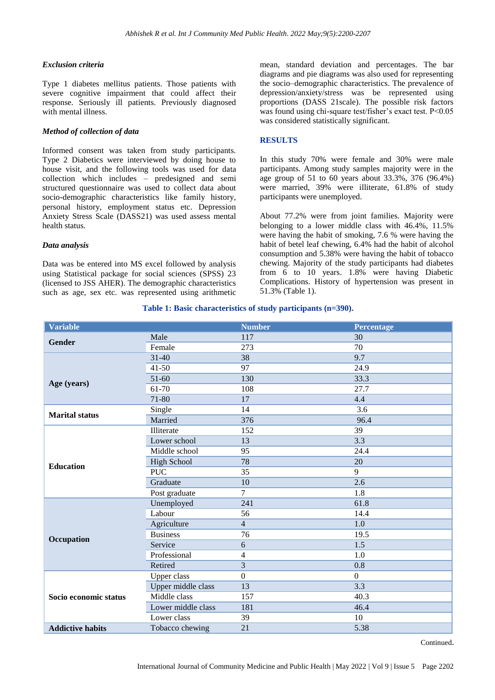#### *Exclusion criteria*

Type 1 diabetes mellitus patients. Those patients with severe cognitive impairment that could affect their response. Seriously ill patients. Previously diagnosed with mental illness.

#### *Method of collection of data*

Informed consent was taken from study participants. Type 2 Diabetics were interviewed by doing house to house visit, and the following tools was used for data collection which includes – predesigned and semi structured questionnaire was used to collect data about socio-demographic characteristics like family history, personal history, employment status etc. Depression Anxiety Stress Scale (DASS21) was used assess mental health status.

#### *Data analysis*

Data was be entered into MS excel followed by analysis using Statistical package for social sciences (SPSS) 23 (licensed to JSS AHER). The demographic characteristics such as age, sex etc. was represented using arithmetic

mean, standard deviation and percentages. The bar diagrams and pie diagrams was also used for representing the socio–demographic characteristics. The prevalence of depression/anxiety/stress was be represented using proportions (DASS 21scale). The possible risk factors was found using chi-square test/fisher's exact test. P<0.05 was considered statistically significant.

#### **RESULTS**

In this study 70% were female and 30% were male participants. Among study samples majority were in the age group of 51 to 60 years about 33.3%, 376 (96.4%) were married, 39% were illiterate, 61.8% of study participants were unemployed.

About 77.2% were from joint families. Majority were belonging to a lower middle class with 46.4%, 11.5% were having the habit of smoking, 7.6 % were having the habit of betel leaf chewing, 6.4% had the habit of alcohol consumption and 5.38% were having the habit of tobacco chewing. Majority of the study participants had diabetes from 6 to 10 years. 1.8% were having Diabetic Complications. History of hypertension was present in 51.3% (Table 1).

#### **Table 1: Basic characteristics of study participants (n=390).**

| <b>Variable</b>         |                    | <b>Number</b>  | <b>Percentage</b> |
|-------------------------|--------------------|----------------|-------------------|
| Gender                  | Male               | 117            | 30                |
|                         | Female             | 273            | 70                |
|                         | $31 - 40$          | 38             | 9.7               |
|                         | $41 - 50$          | 97             | 24.9              |
| Age (years)             | $51-60$            | 130            | 33.3              |
|                         | 61-70              | 108            | 27.7              |
|                         | 71-80              | 17             | 4.4               |
| <b>Marital status</b>   | Single             | 14             | 3.6               |
|                         | Married            | 376            | 96.4              |
|                         | Illiterate         | 152            | 39                |
|                         | Lower school       | 13             | 3.3               |
|                         | Middle school      | 95             | 24.4              |
| <b>Education</b>        | <b>High School</b> | 78             | 20                |
|                         | <b>PUC</b>         | 35             | 9                 |
|                         | Graduate           | 10             | 2.6               |
|                         | Post graduate      | 7              | 1.8               |
|                         | Unemployed         | 241            | 61.8              |
|                         | Labour             | 56             | 14.4              |
|                         | Agriculture        | $\overline{4}$ | 1.0               |
| Occupation              | <b>Business</b>    | 76             | 19.5              |
|                         | Service            | 6              | 1.5               |
|                         | Professional       | 4              | 1.0               |
|                         | Retired            | $\overline{3}$ | 0.8               |
| Socio economic status   | <b>Upper class</b> | $\overline{0}$ | $\overline{0}$    |
|                         | Upper middle class | 13             | 3.3               |
|                         | Middle class       | 157            | 40.3              |
|                         | Lower middle class | 181            | 46.4              |
|                         | Lower class        | 39             | 10                |
| <b>Addictive habits</b> | Tobacco chewing    | 21             | 5.38              |

Continued.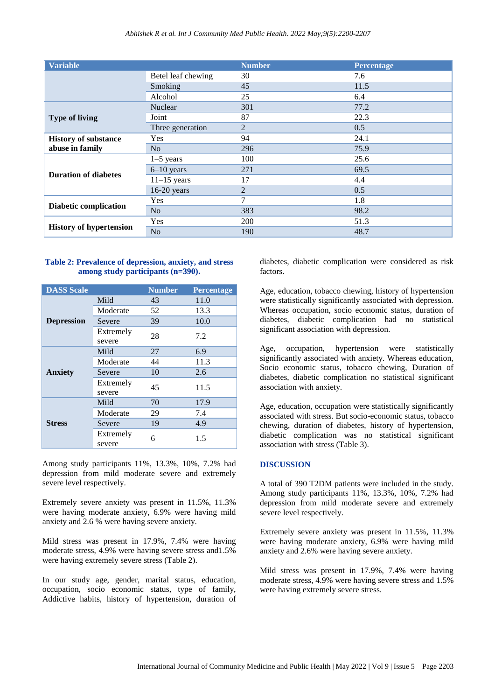| <b>Variable</b>                                |                    | <b>Number</b>  | Percentage |
|------------------------------------------------|--------------------|----------------|------------|
|                                                | Betel leaf chewing | 30             | 7.6        |
|                                                | Smoking            | 45             | 11.5       |
|                                                | Alcohol            | 25             | 6.4        |
| <b>Type of living</b>                          | <b>Nuclear</b>     | 301            | 77.2       |
|                                                | Joint              | 87             | 22.3       |
|                                                | Three generation   | 2              | 0.5        |
| <b>History of substance</b><br>abuse in family | <b>Yes</b>         | 94             | 24.1       |
|                                                | N <sub>o</sub>     | 296            | 75.9       |
| <b>Duration of diabetes</b>                    | $1-5$ years        | 100            | 25.6       |
|                                                | $6-10$ years       | 271            | 69.5       |
|                                                | $11-15$ years      | 17             | 4.4        |
|                                                | $16-20$ years      | $\overline{2}$ | 0.5        |
| <b>Diabetic complication</b>                   | Yes                | 7              | 1.8        |
|                                                | N <sub>o</sub>     | 383            | 98.2       |
| <b>History of hypertension</b>                 | Yes                | 200            | 51.3       |
|                                                | N <sub>o</sub>     | 190            | 48.7       |

#### **Table 2: Prevalence of depression, anxiety, and stress among study participants (n=390).**

| <b>DASS Scale</b> |                     | <b>Number</b> | <b>Percentage</b> |  |
|-------------------|---------------------|---------------|-------------------|--|
|                   | Mild                | 43            | 11.0              |  |
|                   | Moderate            | 52            | 13.3              |  |
| <b>Depression</b> | Severe              | 39            | 10.0              |  |
|                   | Extremely<br>severe | 28            | 7.2               |  |
| <b>Anxiety</b>    | Mild                | 27            | 6.9               |  |
|                   | Moderate            | 44            | 11.3              |  |
|                   | Severe              | 10            | 2.6               |  |
|                   | Extremely<br>severe | 45            | 11.5              |  |
| <b>Stress</b>     | Mild                | 70            | 17.9              |  |
|                   | Moderate            | 29            | 7.4               |  |
|                   | Severe              | 19            | 4.9               |  |
|                   | Extremely<br>severe | 6             | 1.5               |  |

Among study participants 11%, 13.3%, 10%, 7.2% had depression from mild moderate severe and extremely severe level respectively.

Extremely severe anxiety was present in 11.5%, 11.3% were having moderate anxiety, 6.9% were having mild anxiety and 2.6 % were having severe anxiety.

Mild stress was present in 17.9%, 7.4% were having moderate stress, 4.9% were having severe stress and1.5% were having extremely severe stress (Table 2).

In our study age, gender, marital status, education, occupation, socio economic status, type of family, Addictive habits, history of hypertension, duration of diabetes, diabetic complication were considered as risk factors.

Age, education, tobacco chewing, history of hypertension were statistically significantly associated with depression. Whereas occupation, socio economic status, duration of diabetes, diabetic complication had no statistical significant association with depression.

Age, occupation, hypertension were statistically significantly associated with anxiety. Whereas education, Socio economic status, tobacco chewing, Duration of diabetes, diabetic complication no statistical significant association with anxiety.

Age, education, occupation were statistically significantly associated with stress. But socio-economic status, tobacco chewing, duration of diabetes, history of hypertension, diabetic complication was no statistical significant association with stress (Table 3).

#### **DISCUSSION**

A total of 390 T2DM patients were included in the study. Among study participants 11%, 13.3%, 10%, 7.2% had depression from mild moderate severe and extremely severe level respectively.

Extremely severe anxiety was present in 11.5%, 11.3% were having moderate anxiety, 6.9% were having mild anxiety and 2.6% were having severe anxiety.

Mild stress was present in 17.9%, 7.4% were having moderate stress, 4.9% were having severe stress and 1.5% were having extremely severe stress.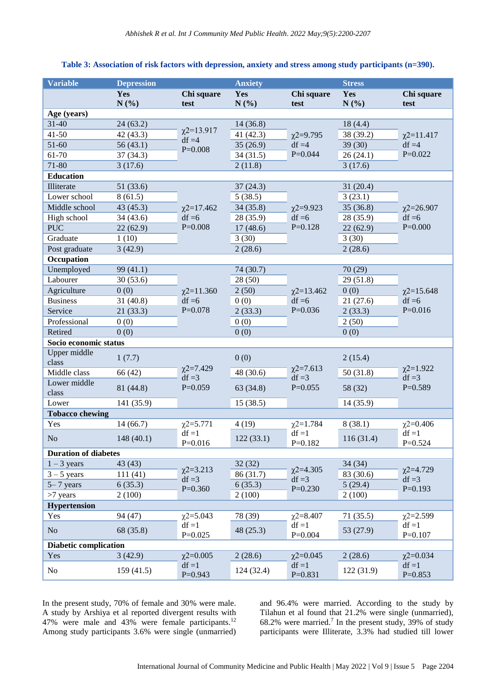#### **Variable Depression Anxiety Stress Yes N (%) Chi square test Yes N (%) Chi square test Yes N (%) Chi square test Age (years)** 31-40 24 (63.2)  $χ2=13.917$  $df = 4$ P=0.008 14 (36.8) 41-50  $42(43.3)$   $\frac{\chi^{2}-13.917}{45.4}$   $41(42.3)$   $\frac{\chi^{2}=9.795}{42.5}$   $38(39.2)$  $df = 4$  $P=0.044$ 18 (4.4)  $\chi$ 2=11.417  $df = 4$  $P=0.022$ 51-60 56 (43.1)  $\qquad \qquad 35 \text{ (26.9)} \qquad \qquad 35 \text{ (30)}$ 61-70 37 (34.3)  $3\left(34.5\right)$   $34\left(31.5\right)$   $P=0.044$   $26\left(24.1\right)$  $71-80$  3 (17.6)  $2(11.8)$  3 (17.6) **Education** Illiterate 51 (33.6)  $\chi$ 2=17.462  $df = 6$ P=0.008 37 (24.3)  $\gamma$ 2=9.923  $df = 6$ P=0.128 31 (20.4)  $\chi$ 2=26.907  $df = 6$ P=0.000 Lower school  $8(61.5)$   $5(38.5)$   $3(23.1)$ Middle school  $43 (45.3)$   $\gamma$ 2=17.462  $34 (35.8)$   $\gamma$ 2=9.923  $35 (36.8)$ High school 34 (43.6) df =6 28 (35.9) df =6 28 (35.9) PUC 22 (62.9)  $P=0.008$  17 (48.6)  $P=0.128$  22 (62.9) Graduate  $1 (10)$  3 (30) 3 (30) Post graduate 3 (42.9) 2 (28.6) 2 (28.6) **Occupation** Unemployed  $99 (41.1)$  $\chi$ 2=11.360  $df = 6$ P=0.078 74 (30.7)  $\chi$ 2=13.462  $df = 6$ P=0.036 70 (29)  $\chi$ 2=15.648  $df = 6$ P=0.016 Labourer 30 (53.6) 28 (50) 28 (50) 29 (51.8) Agriculture  $0 (0)$   $\gamma$ 2=11.360  $2 (50)$   $\gamma$ 2=13.462  $0 (0)$ Business 31 (40.8)  $df = 6$  0 (0)  $df = 6$  21 (27.6) Service 21 (33.3) P=0.078 2 (33.3) P=0.036 2 (33.3)

#### **Table 3: Association of risk factors with depression, anxiety and stress among study participants (n=390).**

| Professional                 | 0(0)       |                            | 0(0)      |                            | 2(50)      |                            |
|------------------------------|------------|----------------------------|-----------|----------------------------|------------|----------------------------|
| Retired                      | 0(0)       |                            | 0(0)      |                            | 0(0)       |                            |
| Socio economic status        |            |                            |           |                            |            |                            |
| Upper middle<br>class        | 1(7.7)     |                            | 0(0)      |                            | 2(15.4)    |                            |
| Middle class                 | 66 (42)    | $\chi$ 2=7.429<br>$df = 3$ | 48 (30.6) | $\chi$ 2=7.613<br>$df = 3$ | 50(31.8)   | $\chi$ 2=1.922<br>$df = 3$ |
| Lower middle<br>class        | 81 (44.8)  | $P=0.059$                  | 63(34.8)  | $P=0.055$                  | 58 (32)    | $P=0.589$                  |
| Lower                        | 141 (35.9) |                            | 15(38.5)  |                            | 14(35.9)   |                            |
| <b>Tobacco chewing</b>       |            |                            |           |                            |            |                            |
| Yes                          | 14(66.7)   | $\chi$ 2=5.771             | 4(19)     | $\chi$ 2=1.784             | 8(38.1)    | $\chi$ 2=0.406             |
| No                           | 148(40.1)  | $df = 1$<br>$P=0.016$      | 122(33.1) | $df = 1$<br>$P=0.182$      | 116(31.4)  | $df = 1$<br>$P=0.524$      |
| <b>Duration of diabetes</b>  |            |                            |           |                            |            |                            |
| $1 - 3$ years                | 43 (43)    | $\chi$ 2=3.213             | 32(32)    | $\chi$ 2=4.305             | 34(34)     | $\chi$ 2=4.729             |
| $3 - 5$ years                | 111(41)    | $df = 3$                   | 86 (31.7) | $df = 3$                   | 83 (30.6)  | $df = 3$                   |
| $5 - 7$ years                | 6(35.3)    | $P=0.360$                  | 6(35.3)   | $P=0.230$                  | 5(29.4)    | $P=0.193$                  |
| $>7$ years                   | 2(100)     |                            | 2(100)    |                            | 2(100)     |                            |
| <b>Hypertension</b>          |            |                            |           |                            |            |                            |
| Yes                          | 94 (47)    | $\chi$ 2=5.043             | 78 (39)   | $\chi$ 2=8.407             | 71(35.5)   | $\chi$ 2=2.599             |
| No                           | 68 (35.8)  | $df = 1$<br>$P=0.025$      | 48 (25.3) | $df = 1$<br>$P=0.004$      | 53 (27.9)  | $df = 1$<br>$P=0.107$      |
| <b>Diabetic complication</b> |            |                            |           |                            |            |                            |
| Yes                          | 3(42.9)    | $\chi$ 2=0.005             | 2(28.6)   | $\chi$ 2=0.045             | 2(28.6)    | $\chi$ 2=0.034             |
| No                           | 159(41.5)  | $df = 1$<br>$P=0.943$      | 124(32.4) | $df = 1$<br>$P=0.831$      | 122 (31.9) | $df = 1$<br>$P=0.853$      |

In the present study, 70% of female and 30% were male. A study by Arshiya et al reported divergent results with 47% were male and 43% were female participants.<sup>12</sup> Among study participants 3.6% were single (unmarried) and 96.4% were married. According to the study by Tilahun et al found that 21.2% were single (unmarried), 68.2% were married.<sup>7</sup> In the present study, 39% of study participants were Illiterate, 3.3% had studied till lower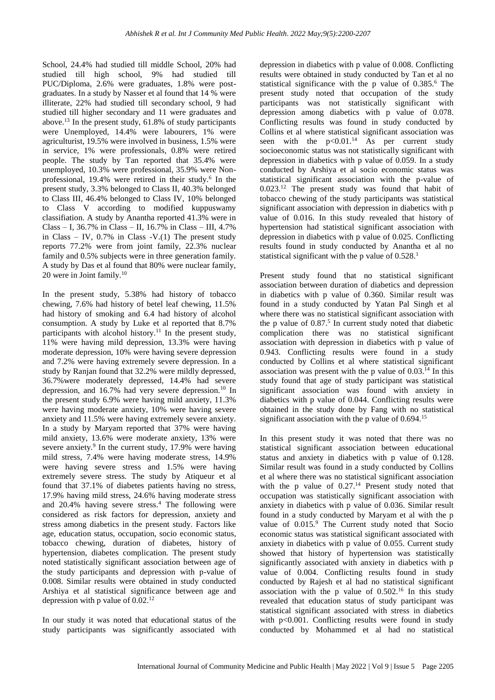School, 24.4% had studied till middle School, 20% had studied till high school, 9% had studied till PUC/Diploma, 2.6% were graduates, 1.8% were postgraduates. In a study by Nasser et al found that 14 % were illiterate, 22% had studied till secondary school, 9 had studied till higher secondary and 11 were graduates and above.<sup>13</sup> In the present study, 61.8% of study participants were Unemployed, 14.4% were labourers, 1% were agriculturist, 19.5% were involved in business, 1.5% were in service, 1% were professionals, 0.8% were retired people. The study by Tan reported that 35.4% were unemployed, 10.3% were professional, 35.9% were Nonprofessional, 19.4% were retired in their study.<sup>6</sup> In the present study, 3.3% belonged to Class II, 40.3% belonged to Class III, 46.4% belonged to Class IV, 10% belonged to Class V according to modified kuppuswamy classifiation. A study by Anantha reported 41.3% were in Class – I, 36.7% in Class – II, 16.7% in Class – III, 4.7% in Class – IV,  $0.7\%$  in Class -V.(1) The present study reports 77.2% were from joint family, 22.3% nuclear family and 0.5% subjects were in three generation family. A study by Das et al found that 80% were nuclear family, 20 were in Joint family.<sup>10</sup>

In the present study, 5.38% had history of tobacco chewing, 7.6% had history of betel leaf chewing, 11.5% had history of smoking and 6.4 had history of alcohol consumption. A study by Luke et al reported that 8.7% participants with alcohol history.<sup>11</sup> In the present study, 11% were having mild depression, 13.3% were having moderate depression, 10% were having severe depression and 7.2% were having extremely severe depression. In a study by Ranjan found that 32.2% were mildly depressed, 36.7%were moderately depressed, 14.4% had severe depression, and 16.7% had very severe depression.<sup>10</sup> In the present study 6.9% were having mild anxiety, 11.3% were having moderate anxiety, 10% were having severe anxiety and 11.5% were having extremely severe anxiety. In a study by Maryam reported that 37% were having mild anxiety, 13.6% were moderate anxiety, 13% were severe anxiety.<sup>9</sup> In the current study, 17.9% were having mild stress, 7.4% were having moderate stress, 14.9% were having severe stress and 1.5% were having extremely severe stress. The study by Atiqueur et al found that 37.1% of diabetes patients having no stress, 17.9% having mild stress, 24.6% having moderate stress and 20.4% having severe stress.<sup>4</sup> The following were considered as risk factors for depression, anxiety and stress among diabetics in the present study. Factors like age, education status, occupation, socio economic status, tobacco chewing, duration of diabetes, history of hypertension, diabetes complication. The present study noted statistically significant association between age of the study participants and depression with p-value of 0.008. Similar results were obtained in study conducted Arshiya et al statistical significance between age and depression with p value of  $0.02$ .<sup>12</sup>

In our study it was noted that educational status of the study participants was significantly associated with

depression in diabetics with p value of 0.008. Conflicting results were obtained in study conducted by Tan et al no statistical significance with the p value of  $0.385$ <sup>6</sup>. The present study noted that occupation of the study participants was not statistically significant with depression among diabetics with p value of 0.078. Conflicting results was found in study conducted by Collins et al where statistical significant association was seen with the  $p<0.01$ .<sup>14</sup> As per current study socioeconomic status was not statistically significant with depression in diabetics with p value of 0.059. In a study conducted by Arshiya et al socio economic status was statistical significant association with the p-value of 0.023.<sup>12</sup> The present study was found that habit of tobacco chewing of the study participants was statistical significant association with depression in diabetics with p value of 0.016. In this study revealed that history of hypertension had statistical significant association with depression in diabetics with p value of 0.025. Conflicting results found in study conducted by Anantha et al no statistical significant with the p value of  $0.528$ .<sup>1</sup>

Present study found that no statistical significant association between duration of diabetics and depression in diabetics with p value of 0.360. Similar result was found in a study conducted by Yatan Pal Singh et al where there was no statistical significant association with the p value of  $0.87<sup>5</sup>$  In current study noted that diabetic complication there was no statistical significant association with depression in diabetics with p value of 0.943. Conflicting results were found in a study conducted by Collins et al where statistical significant association was present with the p value of  $0.03<sup>14</sup>$  In this study found that age of study participant was statistical significant association was found with anxiety in diabetics with p value of 0.044. Conflicting results were obtained in the study done by Fang with no statistical significant association with the p value of 0.694.<sup>15</sup>

In this present study it was noted that there was no statistical significant association between educational status and anxiety in diabetics with p value of 0.128. Similar result was found in a study conducted by Collins et al where there was no statistical significant association with the p value of 0.27.<sup>14</sup> Present study noted that occupation was statistically significant association with anxiety in diabetics with p value of 0.036. Similar result found in a study conducted by Maryam et al with the p value of  $0.015$ .<sup>9</sup> The Current study noted that Socio economic status was statistical significant associated with anxiety in diabetics with p value of 0.055. Current study showed that history of hypertension was statistically significantly associated with anxiety in diabetics with p value of 0.004. Conflicting results found in study conducted by Rajesh et al had no statistical significant association with the p value of  $0.502<sup>16</sup>$  In this study revealed that education status of study participant was statistical significant associated with stress in diabetics with p<0.001. Conflicting results were found in study conducted by Mohammed et al had no statistical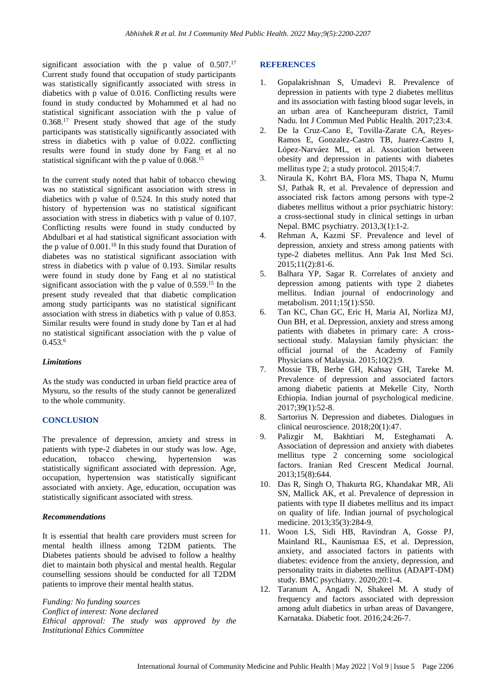significant association with the p value of  $0.507$ .<sup>17</sup> Current study found that occupation of study participants was statistically significantly associated with stress in diabetics with p value of 0.016. Conflicting results were found in study conducted by Mohammed et al had no statistical significant association with the p value of 0.368.<sup>17</sup> Present study showed that age of the study participants was statistically significantly associated with stress in diabetics with p value of 0.022. conflicting results were found in study done by Fang et al no statistical significant with the p value of 0.068.<sup>15</sup>

In the current study noted that habit of tobacco chewing was no statistical significant association with stress in diabetics with p value of 0.524. In this study noted that history of hypertension was no statistical significant association with stress in diabetics with p value of 0.107. Conflicting results were found in study conducted by Abdulbari et al had statistical significant association with the p value of  $0.001$ .<sup>18</sup> In this study found that Duration of diabetes was no statistical significant association with stress in diabetics with p value of 0.193. Similar results were found in study done by Fang et al no statistical significant association with the p value of  $0.559$ .<sup>15</sup> In the present study revealed that that diabetic complication among study participants was no statistical significant association with stress in diabetics with p value of 0.853. Similar results were found in study done by Tan et al had no statistical significant association with the p value of 0.453.<sup>6</sup>

#### *Limitations*

As the study was conducted in urban field practice area of Mysuru, so the results of the study cannot be generalized to the whole community.

#### **CONCLUSION**

The prevalence of depression, anxiety and stress in patients with type-2 diabetes in our study was low. Age, education, tobacco chewing, hypertension was statistically significant associated with depression. Age, occupation, hypertension was statistically significant associated with anxiety. Age, education, occupation was statistically significant associated with stress.

#### *Recommendations*

It is essential that health care providers must screen for mental health illness among T2DM patients. The Diabetes patients should be advised to follow a healthy diet to maintain both physical and mental health. Regular counselling sessions should be conducted for all T2DM patients to improve their mental health status.

*Funding: No funding sources Conflict of interest: None declared Ethical approval: The study was approved by the Institutional Ethics Committee*

#### **REFERENCES**

- 1. Gopalakrishnan S, Umadevi R. Prevalence of depression in patients with type 2 diabetes mellitus and its association with fasting blood sugar levels, in an urban area of Kancheepuram district, Tamil Nadu. Int J Commun Med Public Health. 2017;23:4.
- 2. De la Cruz-Cano E, Tovilla-Zarate CA, Reyes-Ramos E, Gonzalez-Castro TB, Juarez-Castro I, López-Narváez ML, et al. Association between obesity and depression in patients with diabetes mellitus type 2; a study protocol. 2015;4:7.
- 3. Niraula K, Kohrt BA, Flora MS, Thapa N, Mumu SJ, Pathak R, et al. Prevalence of depression and associated risk factors among persons with type-2 diabetes mellitus without a prior psychiatric history: a cross-sectional study in clinical settings in urban Nepal. BMC psychiatry. 2013,3(1):1-2.
- 4. Rehman A, Kazmi SF. Prevalence and level of depression, anxiety and stress among patients with type-2 diabetes mellitus. Ann Pak Inst Med Sci. 2015;11(2):81-6.
- 5. Balhara YP, Sagar R. Correlates of anxiety and depression among patients with type 2 diabetes mellitus. Indian journal of endocrinology and metabolism. 2011;15(1):S50.
- 6. Tan KC, Chan GC, Eric H, Maria AI, Norliza MJ, Oun BH, et al. Depression, anxiety and stress among patients with diabetes in primary care: A crosssectional study. Malaysian family physician: the official journal of the Academy of Family Physicians of Malaysia. 2015;10(2):9.
- 7. Mossie TB, Berhe GH, Kahsay GH, Tareke M. Prevalence of depression and associated factors among diabetic patients at Mekelle City, North Ethiopia. Indian journal of psychological medicine. 2017;39(1):52-8.
- 8. Sartorius N. Depression and diabetes. Dialogues in clinical neuroscience. 2018;20(1):47.
- 9. Palizgir M, Bakhtiari M, Esteghamati A. Association of depression and anxiety with diabetes mellitus type 2 concerning some sociological factors. Iranian Red Crescent Medical Journal. 2013;15(8):644.
- 10. Das R, Singh O, Thakurta RG, Khandakar MR, Ali SN, Mallick AK, et al. Prevalence of depression in patients with type II diabetes mellitus and its impact on quality of life. Indian journal of psychological medicine. 2013;35(3):284-9.
- 11. Woon LS, Sidi HB, Ravindran A, Gosse PJ, Mainland RL, Kaunismaa ES, et al. Depression, anxiety, and associated factors in patients with diabetes: evidence from the anxiety, depression, and personality traits in diabetes mellitus (ADAPT-DM) study. BMC psychiatry. 2020;20:1-4.
- 12. Taranum A, Angadi N, Shakeel M. A study of frequency and factors associated with depression among adult diabetics in urban areas of Davangere, Karnataka. Diabetic foot. 2016;24:26-7.